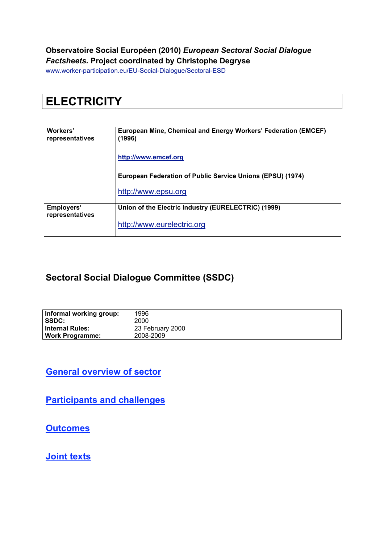#### **Observatoire Social Européen (2010)** *European Sectoral Social Dialogue Factsheets.* **Project coordinated by Christophe Degryse**

www.worker-participation.eu/EU-Social-Dialogue/Sectoral-ESD

# **ELECTRICITY**

| Workers'<br>representatives   | European Mine, Chemical and Energy Workers' Federation (EMCEF)<br>(1996) |  |  |
|-------------------------------|--------------------------------------------------------------------------|--|--|
|                               | http://www.emcef.org                                                     |  |  |
|                               | European Federation of Public Service Unions (EPSU) (1974)               |  |  |
|                               | http://www.epsu.org                                                      |  |  |
| Employers'<br>representatives | Union of the Electric Industry (EURELECTRIC) (1999)                      |  |  |
|                               | http://www.eurelectric.org                                               |  |  |

#### **Sectoral Social Dialogue Committee (SSDC)**

| Informal working group: | 1996             |
|-------------------------|------------------|
| SSDC:                   | 2000             |
| <b>Internal Rules:</b>  | 23 February 2000 |
| <b>Work Programme:</b>  | 2008-2009        |

**General overview of sector**

**Participants and challenges**

**Outcomes**

**Joint texts**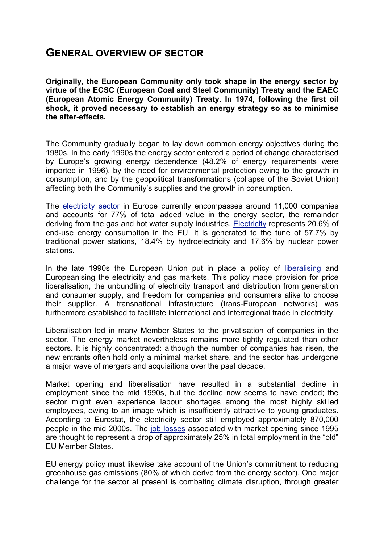#### **GENERAL OVERVIEW OF SECTOR**

**Originally, the European Community only took shape in the energy sector by virtue of the ECSC (European Coal and Steel Community) Treaty and the EAEC (European Atomic Energy Community) Treaty. In 1974, following the first oil shock, it proved necessary to establish an energy strategy so as to minimise the after-effects.**

The Community gradually began to lay down common energy objectives during the 1980s. In the early 1990s the energy sector entered a period of change characterised by Europe's growing energy dependence (48.2% of energy requirements were imported in 1996), by the need for environmental protection owing to the growth in consumption, and by the geopolitical transformations (collapse of the Soviet Union) affecting both the Community's supplies and the growth in consumption.

The electricity sector in Europe currently encompasses around 11,000 companies and accounts for 77% of total added value in the energy sector, the remainder deriving from the gas and hot water supply industries. Electricity represents 20.6% of end-use energy consumption in the EU. It is generated to the tune of 57.7% by traditional power stations, 18.4% by hydroelectricity and 17.6% by nuclear power stations.

In the late 1990s the European Union put in place a policy of liberalising and Europeanising the electricity and gas markets. This policy made provision for price liberalisation, the unbundling of electricity transport and distribution from generation and consumer supply, and freedom for companies and consumers alike to choose their supplier. A transnational infrastructure (trans-European networks) was furthermore established to facilitate international and interregional trade in electricity.

Liberalisation led in many Member States to the privatisation of companies in the sector. The energy market nevertheless remains more tightly regulated than other sectors. It is highly concentrated: although the number of companies has risen, the new entrants often hold only a minimal market share, and the sector has undergone a major wave of mergers and acquisitions over the past decade.

Market opening and liberalisation have resulted in a substantial decline in employment since the mid 1990s, but the decline now seems to have ended; the sector might even experience labour shortages among the most highly skilled employees, owing to an image which is insufficiently attractive to young graduates. According to Eurostat, the electricity sector still employed approximately 870,000 people in the mid 2000s. The job losses associated with market opening since 1995 are thought to represent a drop of approximately 25% in total employment in the "old" EU Member States.

EU energy policy must likewise take account of the Union's commitment to reducing greenhouse gas emissions (80% of which derive from the energy sector). One major challenge for the sector at present is combating climate disruption, through greater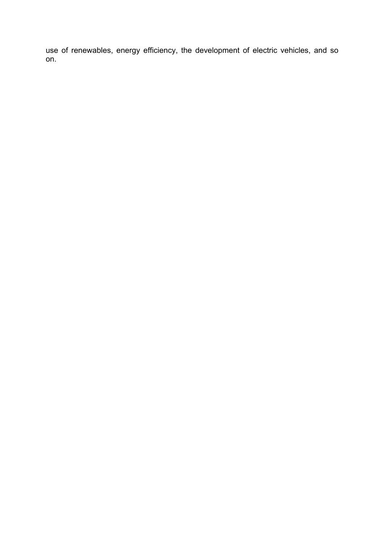use of renewables, energy efficiency, the development of electric vehicles, and so on.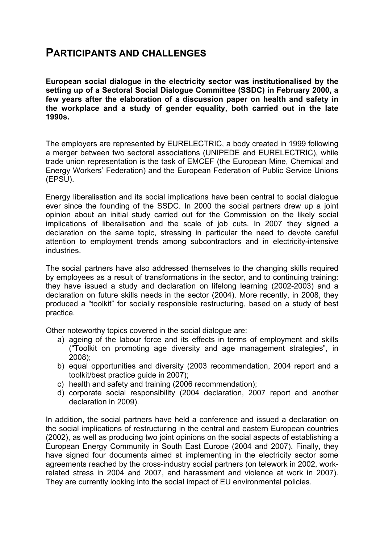### **PARTICIPANTS AND CHALLENGES**

**European social dialogue in the electricity sector was institutionalised by the setting up of a Sectoral Social Dialogue Committee (SSDC) in February 2000, a few years after the elaboration of a discussion paper on health and safety in the workplace and a study of gender equality, both carried out in the late 1990s.**

The employers are represented by EURELECTRIC, a body created in 1999 following a merger between two sectoral associations (UNIPEDE and EURELECTRIC), while trade union representation is the task of EMCEF (the European Mine, Chemical and Energy Workers' Federation) and the European Federation of Public Service Unions (EPSU).

Energy liberalisation and its social implications have been central to social dialogue ever since the founding of the SSDC. In 2000 the social partners drew up a joint opinion about an initial study carried out for the Commission on the likely social implications of liberalisation and the scale of job cuts. In 2007 they signed a declaration on the same topic, stressing in particular the need to devote careful attention to employment trends among subcontractors and in electricity-intensive industries.

The social partners have also addressed themselves to the changing skills required by employees as a result of transformations in the sector, and to continuing training: they have issued a study and declaration on lifelong learning (2002-2003) and a declaration on future skills needs in the sector (2004). More recently, in 2008, they produced a "toolkit" for socially responsible restructuring, based on a study of best practice.

Other noteworthy topics covered in the social dialogue are:

- a) ageing of the labour force and its effects in terms of employment and skills ("Toolkit on promoting age diversity and age management strategies", in 2008);
- b) equal opportunities and diversity (2003 recommendation, 2004 report and a toolkit/best practice guide in 2007);
- c) health and safety and training (2006 recommendation);
- d) corporate social responsibility (2004 declaration, 2007 report and another declaration in 2009).

In addition, the social partners have held a conference and issued a declaration on the social implications of restructuring in the central and eastern European countries (2002), as well as producing two joint opinions on the social aspects of establishing a European Energy Community in South East Europe (2004 and 2007). Finally, they have signed four documents aimed at implementing in the electricity sector some agreements reached by the cross-industry social partners (on telework in 2002, workrelated stress in 2004 and 2007, and harassment and violence at work in 2007). They are currently looking into the social impact of EU environmental policies.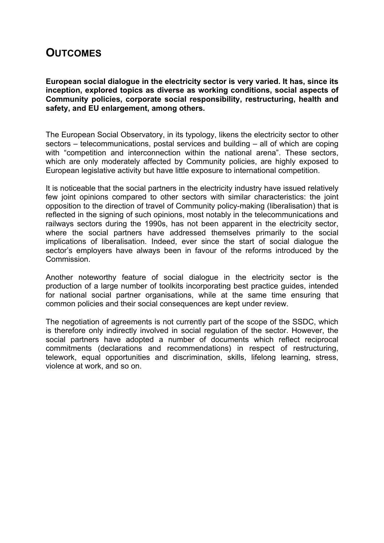### **OUTCOMES**

**European social dialogue in the electricity sector is very varied. It has, since its inception, explored topics as diverse as working conditions, social aspects of Community policies, corporate social responsibility, restructuring, health and safety, and EU enlargement, among others.** 

The European Social Observatory, in its typology, likens the electricity sector to other sectors – telecommunications, postal services and building – all of which are coping with "competition and interconnection within the national arena". These sectors, which are only moderately affected by Community policies, are highly exposed to European legislative activity but have little exposure to international competition.

It is noticeable that the social partners in the electricity industry have issued relatively few joint opinions compared to other sectors with similar characteristics: the joint opposition to the direction of travel of Community policy-making (liberalisation) that is reflected in the signing of such opinions, most notably in the telecommunications and railways sectors during the 1990s, has not been apparent in the electricity sector, where the social partners have addressed themselves primarily to the social implications of liberalisation. Indeed, ever since the start of social dialogue the sector's employers have always been in favour of the reforms introduced by the **Commission** 

Another noteworthy feature of social dialogue in the electricity sector is the production of a large number of toolkits incorporating best practice guides, intended for national social partner organisations, while at the same time ensuring that common policies and their social consequences are kept under review.

The negotiation of agreements is not currently part of the scope of the SSDC, which is therefore only indirectly involved in social regulation of the sector. However, the social partners have adopted a number of documents which reflect reciprocal commitments (declarations and recommendations) in respect of restructuring, telework, equal opportunities and discrimination, skills, lifelong learning, stress, violence at work, and so on.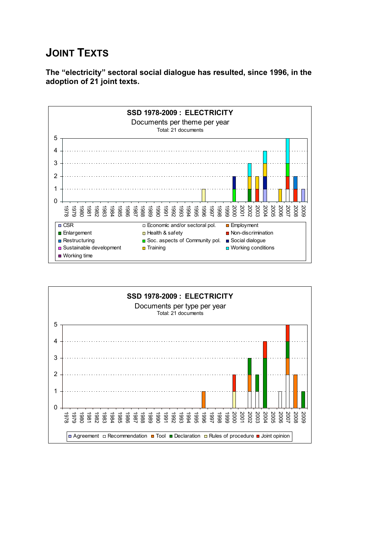## **JOINT TEXTS**

**The "electricity" sectoral social dialogue has resulted, since 1996, in the adoption of 21 joint texts.**



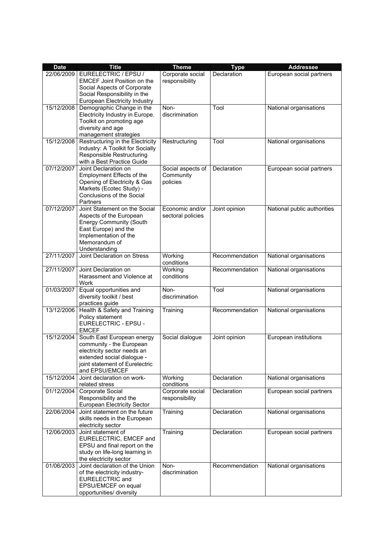| <b>Date</b> | <b>Title</b>                                                                                                                                                                   | <b>Theme</b>                               | <b>Type</b>    | <b>Addressee</b>            |
|-------------|--------------------------------------------------------------------------------------------------------------------------------------------------------------------------------|--------------------------------------------|----------------|-----------------------------|
| 22/06/2009  | EURELECTRIC / EPSU /<br><b>EMCEF Joint Position on the</b><br>Social Aspects of Corporate<br>Social Responsibility in the                                                      | Corporate social<br>responsibility         | Declaration    | European social partners    |
| 15/12/2008  | <b>European Electricity Industry</b><br>Demographic Change in the<br>Electricity Industry in Europe.<br>Toolkit on promoting age<br>diversity and age<br>management strategies | Non-<br>discrimination                     | Tool           | National organisations      |
| 15/12/2008  | Restructuring in the Electricity<br>Industry: A Toolkit for Socially<br><b>Responsible Restructuring</b><br>with a Best Practice Guide                                         | Restructuring                              | Tool           | National organisations      |
| 07/12/2007  | Joint Declaration on<br>Employment Effects of the<br>Opening of Electricity & Gas<br>Markets (Ecotec Study) -<br>Conclusions of the Social<br>Partners                         | Social aspects of<br>Community<br>policies | Declaration    | European social partners    |
| 07/12/2007  | Joint Statement on the Social<br>Aspects of the European<br><b>Energy Community (South</b><br>East Europe) and the<br>Implementation of the<br>Memorandum of<br>Understanding  | Economic and/or<br>sectoral policies       | Joint opinion  | National public authorities |
| 27/11/2007  | Joint Declaration on Stress                                                                                                                                                    | Working<br>conditions                      | Recommendation | National organisations      |
| 27/11/2007  | Joint Declaration on<br>Harassment and Violence at<br>Work                                                                                                                     | Working<br>conditions                      | Recommendation | National organisations      |
| 01/03/2007  | Equal opportunities and<br>diversity toolkit / best<br>practices guide                                                                                                         | Non-<br>discrimination                     | Tool           | National organisations      |
| 13/12/2006  | Health & Safety and Training<br>Policy statement<br>EURELECTRIC - EPSU -<br><b>EMCEF</b>                                                                                       | Training                                   | Recommendation | National organisations      |
| 15/12/2004  | South East European energy<br>community - the European<br>electricity sector needs an<br>extended social dialogue -<br>joint statement of Eurelectric<br>and EPSU/EMCEF        | Social dialogue                            | Joint opinion  | European institutions       |
| 15/12/2004  | Joint declaration on work-<br>related stress                                                                                                                                   | Working<br>conditions                      | Declaration    | National organisations      |
| 01/12/2004  | Corporate Social<br>Responsibility and the<br>European Electricity Sector                                                                                                      | Corporate social<br>responsibility         | Declaration    | European social partners    |
| 22/06/2004  | Joint statement on the future<br>skills needs in the European<br>electricity sector                                                                                            | Training                                   | Declaration    | National organisations      |
| 12/06/2003  | Joint statement of<br>EURELECTRIC, EMCEF and<br>EPSU and final report on the<br>study on life-long learning in<br>the electricity sector                                       | Training                                   | Declaration    | European social partners    |
| 01/06/2003  | Joint declaration of the Union<br>of the electricity industry-<br><b>EURELECTRIC and</b><br>EPSU/EMCEF on equal<br>opportunities/ diversity                                    | Non-<br>discrimination                     | Recommendation | National organisations      |